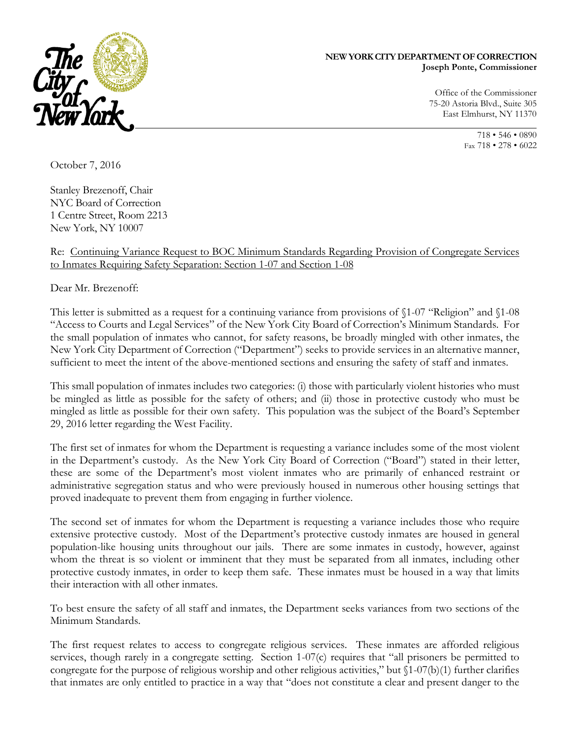

## **NEW YORK CITY DEPARTMENT OF CORRECTION Joseph Ponte, Commissioner**

Office of the Commissioner 75-20 Astoria Blvd., Suite 305 East Elmhurst, NY 11370

> 718 • 546 • 0890 Fax 718 • 278 • 6022

October 7, 2016

Stanley Brezenoff, Chair NYC Board of Correction 1 Centre Street, Room 2213 New York, NY 10007

Re: Continuing Variance Request to BOC Minimum Standards Regarding Provision of Congregate Services to Inmates Requiring Safety Separation: Section 1-07 and Section 1-08

Dear Mr. Brezenoff:

This letter is submitted as a request for a continuing variance from provisions of §1-07 "Religion" and §1-08 "Access to Courts and Legal Services" of the New York City Board of Correction's Minimum Standards. For the small population of inmates who cannot, for safety reasons, be broadly mingled with other inmates, the New York City Department of Correction ("Department") seeks to provide services in an alternative manner, sufficient to meet the intent of the above-mentioned sections and ensuring the safety of staff and inmates.

This small population of inmates includes two categories: (i) those with particularly violent histories who must be mingled as little as possible for the safety of others; and (ii) those in protective custody who must be mingled as little as possible for their own safety. This population was the subject of the Board's September 29, 2016 letter regarding the West Facility.

The first set of inmates for whom the Department is requesting a variance includes some of the most violent in the Department's custody. As the New York City Board of Correction ("Board") stated in their letter, these are some of the Department's most violent inmates who are primarily of enhanced restraint or administrative segregation status and who were previously housed in numerous other housing settings that proved inadequate to prevent them from engaging in further violence.

The second set of inmates for whom the Department is requesting a variance includes those who require extensive protective custody. Most of the Department's protective custody inmates are housed in general population-like housing units throughout our jails. There are some inmates in custody, however, against whom the threat is so violent or imminent that they must be separated from all inmates, including other protective custody inmates, in order to keep them safe. These inmates must be housed in a way that limits their interaction with all other inmates.

To best ensure the safety of all staff and inmates, the Department seeks variances from two sections of the Minimum Standards.

The first request relates to access to congregate religious services. These inmates are afforded religious services, though rarely in a congregate setting. Section 1-07(c) requires that "all prisoners be permitted to congregate for the purpose of religious worship and other religious activities," but  $(1-07(b)(1))$  further clarifies that inmates are only entitled to practice in a way that "does not constitute a clear and present danger to the